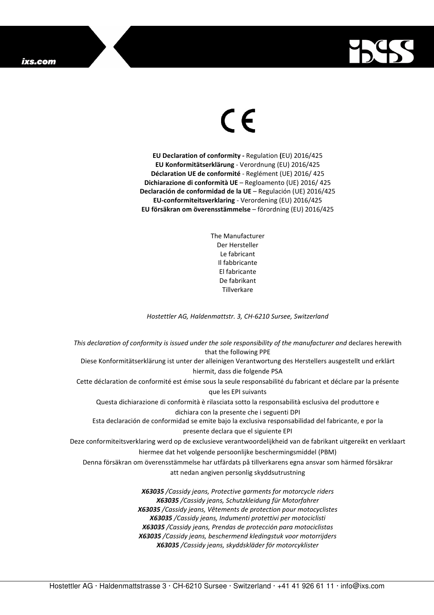## ixs.com



## $\in$

**EU Declaration of conformity -** Regulation **(**EU) 2016/425 **EU Konformitätserklärung** - Verordnung (EU) 2016/425 **Déclaration UE de conformité** - Reglément (UE) 2016/ 425 **Dichiarazione di conformità UE** – Regloamento (UE) 2016/ 425 **Declaración de conformidad de la UE** – Regulación (UE) 2016/425 **EU-conformiteitsverklaring** - Verordening (EU) 2016/425 **EU försäkran om överensstämmelse** – förordning (EU) 2016/425

> The Manufacturer Der Hersteller Le fabricant Il fabbricante El fabricante De fabrikant **Tillverkare**

*Hostettler AG, Haldenmattstr. 3, CH-6210 Sursee, Switzerland* 

*This declaration of conformity is issued under the sole responsibility of the manufacturer and* declares herewith that the following PPE Diese Konformitätserklärung ist unter der alleinigen Verantwortung des Herstellers ausgestellt und erklärt hiermit, dass die folgende PSA Cette déclaration de conformité est émise sous la seule responsabilité du fabricant et déclare par la présente que les EPI suivants Questa dichiarazione di conformità è rilasciata sotto la responsabilità esclusiva del produttore e dichiara con la presente che i seguenti DPI Esta declaración de conformidad se emite bajo la exclusiva responsabilidad del fabricante, e por la presente declara que el siguiente EPI Deze conformiteitsverklaring werd op de exclusieve verantwoordelijkheid van de fabrikant uitgereikt en verklaart hiermee dat het volgende persoonlijke beschermingsmiddel (PBM) Denna försäkran om överensstämmelse har utfärdats på tillverkarens egna ansvar som härmed försäkrar att nedan angiven personlig skyddsutrustning *X63035 /Cassidy jeans, Protective garments for motorcycle riders X63035 /Cassidy jeans, Schutzkleidung für Motorfahrer X63035 /Cassidy jeans, Vêtements de protection pour motocyclistes X63035 /Cassidy jeans, Indumenti protettivi per motociclisti X63035 /Cassidy jeans, Prendas de protección para motociclistas X63035 /Cassidy jeans, beschermend kledingstuk voor motorrijders* 

*X63035 /Cassidy jeans, skyddskläder för motorcyklister*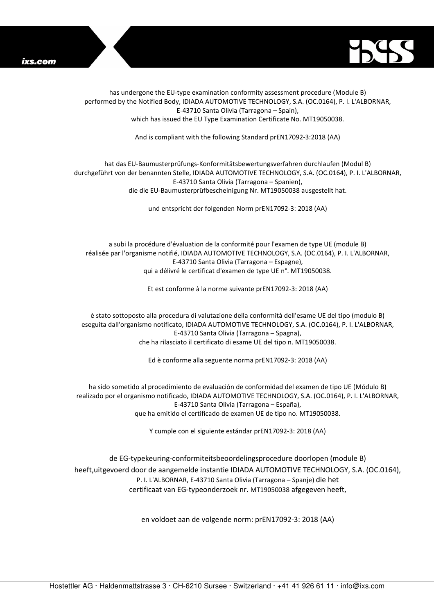



has undergone the EU-type examination conformity assessment procedure (Module B) performed by the Notified Body, IDIADA AUTOMOTIVE TECHNOLOGY, S.A. (OC.0164), P. I. L'ALBORNAR, E-43710 Santa Olivia (Tarragona – Spain), which has issued the EU Type Examination Certificate No. MT19050038.

And is compliant with the following Standard prEN17092-3:2018 (AA)

## hat das EU-Baumusterprüfungs-Konformitätsbewertungsverfahren durchlaufen (Modul B) durchgeführt von der benannten Stelle, IDIADA AUTOMOTIVE TECHNOLOGY, S.A. (OC.0164), P. I. L'ALBORNAR, E-43710 Santa Olivia (Tarragona – Spanien), die die EU-Baumusterprüfbescheinigung Nr. MT19050038 ausgestellt hat.

und entspricht der folgenden Norm prEN17092-3: 2018 (AA)

a subi la procédure d'évaluation de la conformité pour l'examen de type UE (module B) réalisée par l'organisme notifié, IDIADA AUTOMOTIVE TECHNOLOGY, S.A. (OC.0164), P. I. L'ALBORNAR, E-43710 Santa Olivia (Tarragona – Espagne), qui a délivré le certificat d'examen de type UE n°. MT19050038.

Et est conforme à la norme suivante prEN17092-3: 2018 (AA)

è stato sottoposto alla procedura di valutazione della conformità dell'esame UE del tipo (modulo B) eseguita dall'organismo notificato, IDIADA AUTOMOTIVE TECHNOLOGY, S.A. (OC.0164), P. I. L'ALBORNAR, E-43710 Santa Olivia (Tarragona – Spagna), che ha rilasciato il certificato di esame UE del tipo n. MT19050038.

Ed è conforme alla seguente norma prEN17092-3: 2018 (AA)

ha sido sometido al procedimiento de evaluación de conformidad del examen de tipo UE (Módulo B) realizado por el organismo notificado, IDIADA AUTOMOTIVE TECHNOLOGY, S.A. (OC.0164), P. I. L'ALBORNAR, E-43710 Santa Olivia (Tarragona – España), que ha emitido el certificado de examen UE de tipo no. MT19050038.

Y cumple con el siguiente estándar prEN17092-3: 2018 (AA)

de EG-typekeuring-conformiteitsbeoordelingsprocedure doorlopen (module B) heeft,uitgevoerd door de aangemelde instantie IDIADA AUTOMOTIVE TECHNOLOGY, S.A. (OC.0164), P. I. L'ALBORNAR, E-43710 Santa Olivia (Tarragona – Spanje) die het certificaat van EG-typeonderzoek nr. MT19050038 afgegeven heeft,

en voldoet aan de volgende norm: prEN17092-3: 2018 (AA)